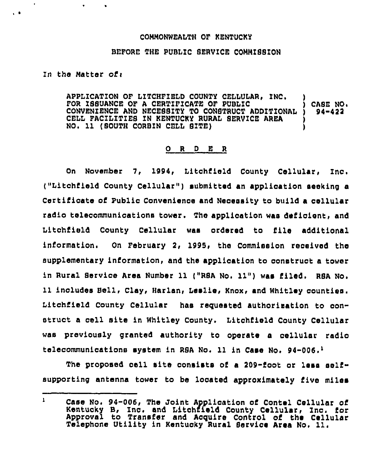## CONNONWEALTH OF KENTUCKY

## BEFORE THE PUBLIC SERVICE CONNISSION

In the Matter of:

 $\ddot{\phantom{1}}$ 

 $\sqrt{2}$ 

APPLICATION OF LITCHFIELD COUNTY CELLULAR. INC. FOR ISSUANCE OF A CERTIFICATE OF PUBLIC  $\begin{array}{c} \text{S} \\ \text{S} \\ \text{S} \\ \text{S} \\ \text{A} \\ \text{C} \end{array}$  . The construct of public  $\begin{array}{c} \text{S} \\ \text{S} \\ \text{S} \\ \text{A} \\ \text{A} \\ \text{B} \\ \text{C} \end{array}$ CONVENIENCE AND NECESSITY TO CONSTRUCT ADDITIONAL CELL FACILITIES IN KENTUCKY RURAL SERVICE AREA NO. 11 (SOUTH CORBIN CELL SITE)

## 0 <sup>R</sup> <sup>D</sup> <sup>E</sup> <sup>R</sup>

On November 7, 1994, Litchfield County Cellular, Inc. ("Litchfield County Cellular" ) submitted an application seeking a Certifioate of Public Convenience and Necessity to build a cellular radio telecommunications tower. The application was deficient, and Litchiieid County Cellular was ordered to file additional information. On February 2, 1995, the Commission received the supplementary iniormation, and the application to construct a tower in Rural Service Area Number 11 ("RBA No. 11") was filed. RSA No. 11 includes Bell, Clay, Harlan, Leslie, Knox, and Whitley counties. Litchfield County Cellular has requested authorisation to construct <sup>a</sup> cell site in Whitley County, Litchfield County Cellular was previously granted authority to operate a cellular radio telecommunications system in RSA No. 11 in Case No. 94-006. $<sup>1</sup>$ </sup>

The proposed cell site consists of a 209-foot or less selfsupporting antenna tower to be located approximately five miles

 $\mathbf{L}$ Case No. 94-006, The Joint Application of Contel Cellular of Kentucky B, Inc. and Litohfield County Cellular< Inc. for Approval to Transfer and Acquire Control of the Cellula Telephone Utility in Kentucky Rural Service Area No, 11.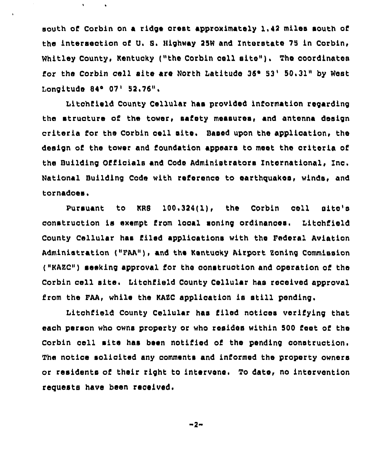south of Corbin on a ridge crest approximately 1,42 miles south of the intersection of U. S. Highway 25W and Interstate 75 in Corbin, Whitley County, Kentucky ("the Corbin coll sito"). Tho coordinates for the Corbin cell site are North Latitude 36° 53' 50.31" by West Longitude 84° 07' 52.76".

Litchfield County Cellular hae providod information regarding the structure of the tower, safety measures, and antenna design criteria for the Corbin cell oite. Based upon the application, tho design cf the tower and foundation appears to moot the criteria of the Building Officials and Code Administrators International, Inc. National Building Code with reference to earthquakes, winds, and tornadoes.

Pursuant to KRS 100.324(l), the Corbin coll oito'o construction is exempt from local soning ordinances. Litchfield County Cellular has filed applications with tho Federal Aviation Administration ("PAA"), and, the Kentucky Airport Boning Commission ("KAEC") seeking approval for tho construction and operation cf tho Corbin cell site. litchfield County Cellular has rocoivod approval from the FAA, while the KAZC application is still pending.

Litchfield County Cellular has filed noticos vorifying that each person who owns property or who resides within 500 foot of tho Corbin cell mite has been notified of the pending construction. The notice solicited any comments and informed the proporty owners or residents of their right to intervene. To date, no intervention requests have been received.

$$
-2 -
$$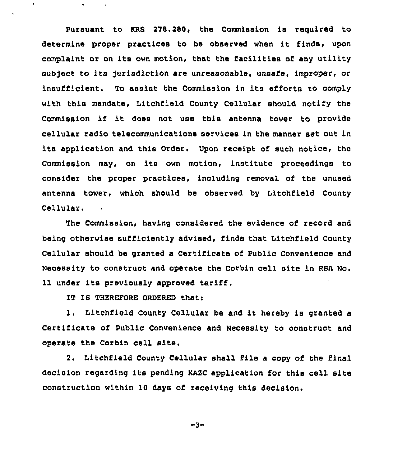Pursuant to KRS 278.280, the Commission is reguired to determine proper practices to be observed when it finds, upon complaint or on its own motion, that the facilities of any utility sub)ect to its jurisdiction are unreasonable, unsafe, improper, or insufficient. To assist the Commission in its efforts to comply with this mandate, Litchfield County Cellular should notify the Commission if it does not use this antenna tower to provide cellular radio telecommunications services in the manner set out in its application and this Order. Upon receipt of such notice, the Commission may, on its own motion, institute proceedings to consider the proper practices, including removal of the unused antenna tower, which should be observed by Iitchfield County Cellular.

The Commission, having considered the evidence of record and being otherwise sufficiently advised, finds that Litchfield County Cellular should be granted a Certificate of Public Convenience and Necessity to construct and operate the Corbin cell site in RSA No. 11 under its previously approved tariff.

IT IS THEREPORE ORDERED thatt

 $\bullet$ 

1. Litchfield County Cellular be and it hereby is granted <sup>a</sup> Certificate of Public Convenience and Necessity to construct and operate the Corbin cell site.

2. Litchfield County Cellular shall file a copy of the final decision regarding its pending KAZC application for this cell site construction within 10 days of receiving this decision.

$$
-3 -
$$